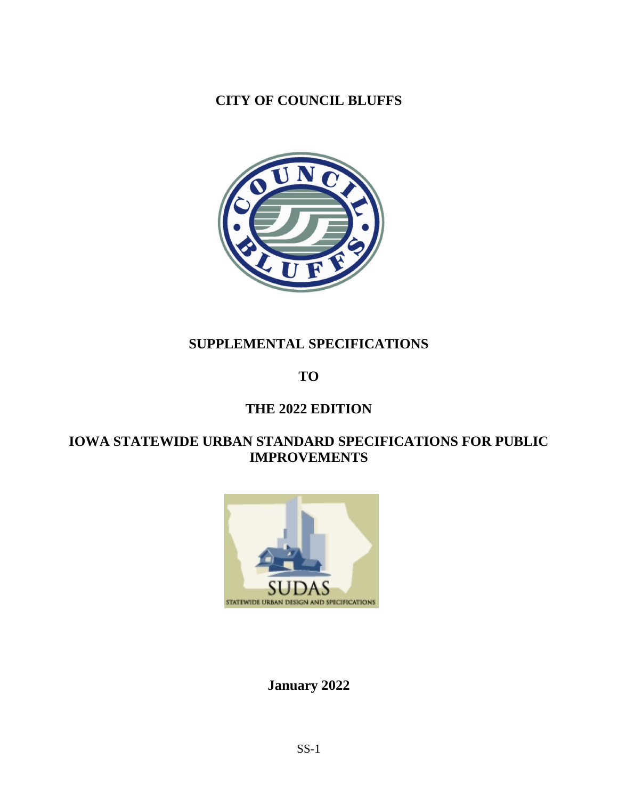**CITY OF COUNCIL BLUFFS**



# **SUPPLEMENTAL SPECIFICATIONS**

**TO**

# **THE 2022 EDITION**

# **IOWA STATEWIDE URBAN STANDARD SPECIFICATIONS FOR PUBLIC IMPROVEMENTS**



**[January 2022](http://www.iowasudas.org/index.cfm)**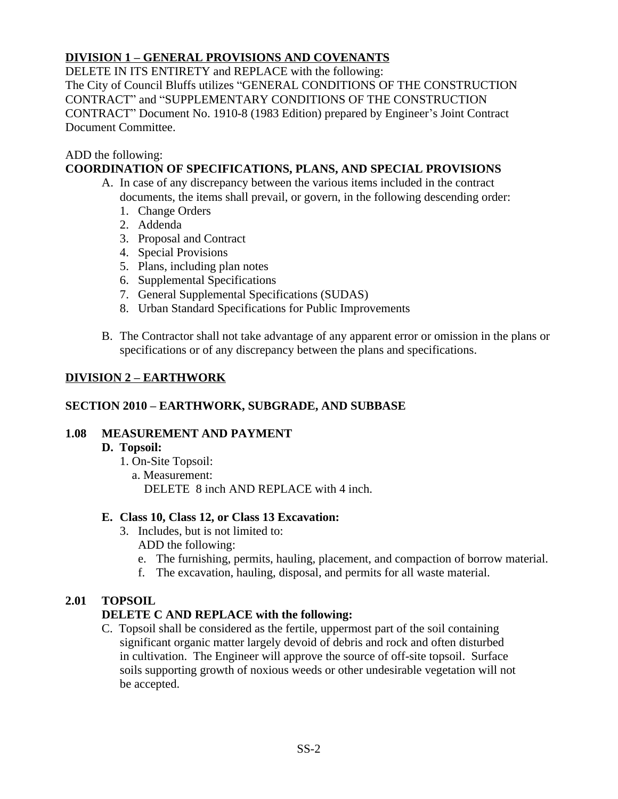# **DIVISION 1 – GENERAL PROVISIONS AND COVENANTS**

DELETE IN ITS ENTIRETY and REPLACE with the following: The City of Council Bluffs utilizes "GENERAL CONDITIONS OF THE CONSTRUCTION CONTRACT" and "SUPPLEMENTARY CONDITIONS OF THE CONSTRUCTION CONTRACT" Document No. 1910-8 (1983 Edition) prepared by Engineer's Joint Contract Document Committee.

#### ADD the following:

# **COORDINATION OF SPECIFICATIONS, PLANS, AND SPECIAL PROVISIONS**

- A. In case of any discrepancy between the various items included in the contract documents, the items shall prevail, or govern, in the following descending order:
	- 1. Change Orders
	- 2. Addenda
	- 3. Proposal and Contract
	- 4. Special Provisions
	- 5. Plans, including plan notes
	- 6. Supplemental Specifications
	- 7. General Supplemental Specifications (SUDAS)
	- 8. Urban Standard Specifications for Public Improvements
- B. The Contractor shall not take advantage of any apparent error or omission in the plans or specifications or of any discrepancy between the plans and specifications.

# **DIVISION 2 – EARTHWORK**

#### **SECTION 2010 – EARTHWORK, SUBGRADE, AND SUBBASE**

# **1.08 MEASUREMENT AND PAYMENT**

#### **D. Topsoil:**

1. On-Site Topsoil: a. Measurement: DELETE 8 inch AND REPLACE with 4 inch.

#### **E. Class 10, Class 12, or Class 13 Excavation:**

- 3. Includes, but is not limited to: ADD the following:
	- e. The furnishing, permits, hauling, placement, and compaction of borrow material.
	- f. The excavation, hauling, disposal, and permits for all waste material.

# **2.01 TOPSOIL**

# **DELETE C AND REPLACE with the following:**

C. Topsoil shall be considered as the fertile, uppermost part of the soil containing significant organic matter largely devoid of debris and rock and often disturbed in cultivation. The Engineer will approve the source of off-site topsoil. Surface soils supporting growth of noxious weeds or other undesirable vegetation will not be accepted.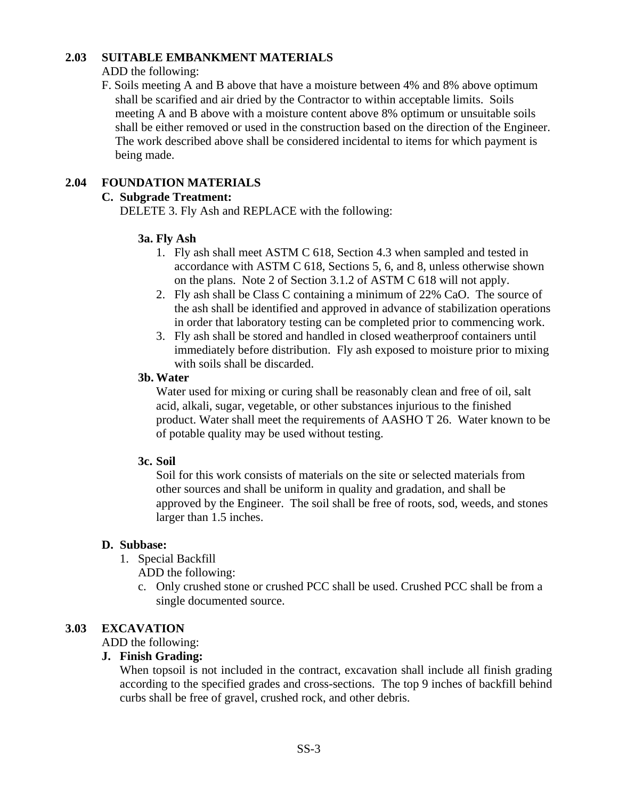#### **2.03 SUITABLE EMBANKMENT MATERIALS**

#### ADD the following:

F. Soils meeting A and B above that have a moisture between 4% and 8% above optimum shall be scarified and air dried by the Contractor to within acceptable limits. Soils meeting A and B above with a moisture content above 8% optimum or unsuitable soils shall be either removed or used in the construction based on the direction of the Engineer. The work described above shall be considered incidental to items for which payment is being made.

# **2.04 FOUNDATION MATERIALS**

# **C. Subgrade Treatment:**

DELETE 3. Fly Ash and REPLACE with the following:

#### **3a. Fly Ash**

- 1. Fly ash shall meet ASTM C 618, Section 4.3 when sampled and tested in accordance with ASTM C 618, Sections 5, 6, and 8, unless otherwise shown on the plans. Note 2 of Section 3.1.2 of ASTM C 618 will not apply.
- 2. Fly ash shall be Class C containing a minimum of 22% CaO. The source of the ash shall be identified and approved in advance of stabilization operations in order that laboratory testing can be completed prior to commencing work.
- 3. Fly ash shall be stored and handled in closed weatherproof containers until immediately before distribution. Fly ash exposed to moisture prior to mixing with soils shall be discarded.

#### **3b. Water**

Water used for mixing or curing shall be reasonably clean and free of oil, salt acid, alkali, sugar, vegetable, or other substances injurious to the finished product. Water shall meet the requirements of AASHO T 26. Water known to be of potable quality may be used without testing.

#### **3c. Soil**

Soil for this work consists of materials on the site or selected materials from other sources and shall be uniform in quality and gradation, and shall be approved by the Engineer. The soil shall be free of roots, sod, weeds, and stones larger than 1.5 inches.

#### **D. Subbase:**

1. Special Backfill

ADD the following:

c. Only crushed stone or crushed PCC shall be used. Crushed PCC shall be from a single documented source.

# **3.03 EXCAVATION**

ADD the following:

#### **J. Finish Grading:**

When topsoil is not included in the contract, excavation shall include all finish grading according to the specified grades and cross-sections. The top 9 inches of backfill behind curbs shall be free of gravel, crushed rock, and other debris.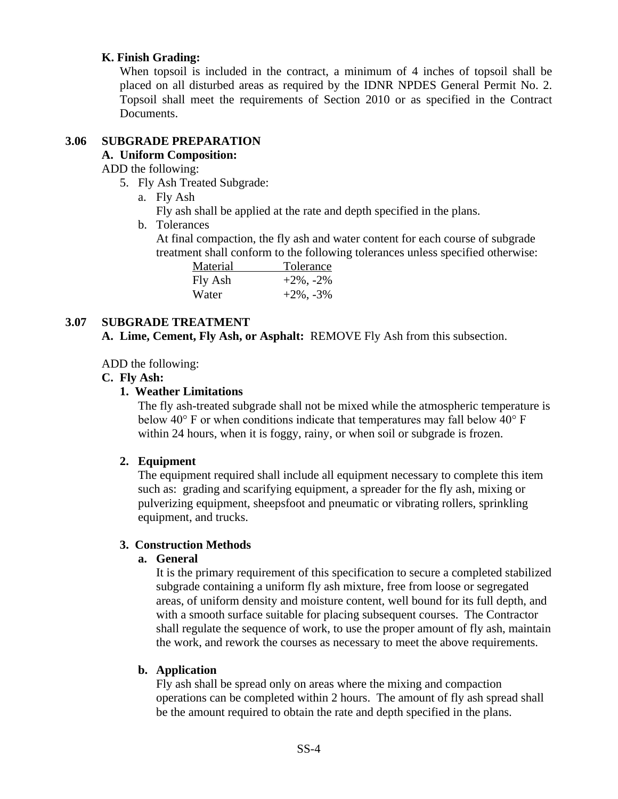#### **K. Finish Grading:**

When topsoil is included in the contract, a minimum of 4 inches of topsoil shall be placed on all disturbed areas as required by the IDNR NPDES General Permit No. 2. Topsoil shall meet the requirements of Section 2010 or as specified in the Contract Documents.

# **3.06 SUBGRADE PREPARATION**

# **A. Uniform Composition:**

ADD the following:

- 5. Fly Ash Treated Subgrade:
	- a. Fly Ash
		- Fly ash shall be applied at the rate and depth specified in the plans.
	- b. Tolerances

At final compaction, the fly ash and water content for each course of subgrade treatment shall conform to the following tolerances unless specified otherwise:

| Material | Tolerance       |  |  |
|----------|-----------------|--|--|
| Fly Ash  | $+2\%$ , $-2\%$ |  |  |
| Water    | $+2\%$ , $-3\%$ |  |  |

#### **3.07 SUBGRADE TREATMENT**

**A. Lime, Cement, Fly Ash, or Asphalt:** REMOVE Fly Ash from this subsection.

#### ADD the following:

#### **C. Fly Ash:**

#### **1. Weather Limitations**

The fly ash-treated subgrade shall not be mixed while the atmospheric temperature is below 40° F or when conditions indicate that temperatures may fall below 40° F within 24 hours, when it is foggy, rainy, or when soil or subgrade is frozen.

# **2. Equipment**

The equipment required shall include all equipment necessary to complete this item such as: grading and scarifying equipment, a spreader for the fly ash, mixing or pulverizing equipment, sheepsfoot and pneumatic or vibrating rollers, sprinkling equipment, and trucks.

#### **3. Construction Methods**

#### **a. General**

It is the primary requirement of this specification to secure a completed stabilized subgrade containing a uniform fly ash mixture, free from loose or segregated areas, of uniform density and moisture content, well bound for its full depth, and with a smooth surface suitable for placing subsequent courses. The Contractor shall regulate the sequence of work, to use the proper amount of fly ash, maintain the work, and rework the courses as necessary to meet the above requirements.

# **b. Application**

Fly ash shall be spread only on areas where the mixing and compaction operations can be completed within 2 hours. The amount of fly ash spread shall be the amount required to obtain the rate and depth specified in the plans.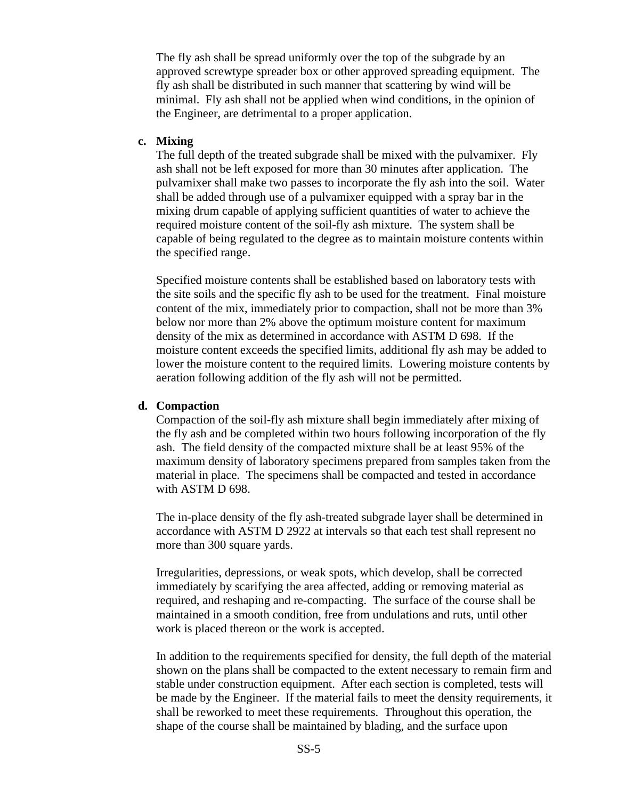The fly ash shall be spread uniformly over the top of the subgrade by an approved screwtype spreader box or other approved spreading equipment. The fly ash shall be distributed in such manner that scattering by wind will be minimal. Fly ash shall not be applied when wind conditions, in the opinion of the Engineer, are detrimental to a proper application.

#### **c. Mixing**

The full depth of the treated subgrade shall be mixed with the pulvamixer. Fly ash shall not be left exposed for more than 30 minutes after application. The pulvamixer shall make two passes to incorporate the fly ash into the soil. Water shall be added through use of a pulvamixer equipped with a spray bar in the mixing drum capable of applying sufficient quantities of water to achieve the required moisture content of the soil-fly ash mixture. The system shall be capable of being regulated to the degree as to maintain moisture contents within the specified range.

Specified moisture contents shall be established based on laboratory tests with the site soils and the specific fly ash to be used for the treatment. Final moisture content of the mix, immediately prior to compaction, shall not be more than 3% below nor more than 2% above the optimum moisture content for maximum density of the mix as determined in accordance with ASTM D 698. If the moisture content exceeds the specified limits, additional fly ash may be added to lower the moisture content to the required limits. Lowering moisture contents by aeration following addition of the fly ash will not be permitted.

#### **d. Compaction**

Compaction of the soil-fly ash mixture shall begin immediately after mixing of the fly ash and be completed within two hours following incorporation of the fly ash. The field density of the compacted mixture shall be at least 95% of the maximum density of laboratory specimens prepared from samples taken from the material in place. The specimens shall be compacted and tested in accordance with ASTM D 698.

The in-place density of the fly ash-treated subgrade layer shall be determined in accordance with ASTM D 2922 at intervals so that each test shall represent no more than 300 square yards.

Irregularities, depressions, or weak spots, which develop, shall be corrected immediately by scarifying the area affected, adding or removing material as required, and reshaping and re-compacting. The surface of the course shall be maintained in a smooth condition, free from undulations and ruts, until other work is placed thereon or the work is accepted.

In addition to the requirements specified for density, the full depth of the material shown on the plans shall be compacted to the extent necessary to remain firm and stable under construction equipment. After each section is completed, tests will be made by the Engineer. If the material fails to meet the density requirements, it shall be reworked to meet these requirements. Throughout this operation, the shape of the course shall be maintained by blading, and the surface upon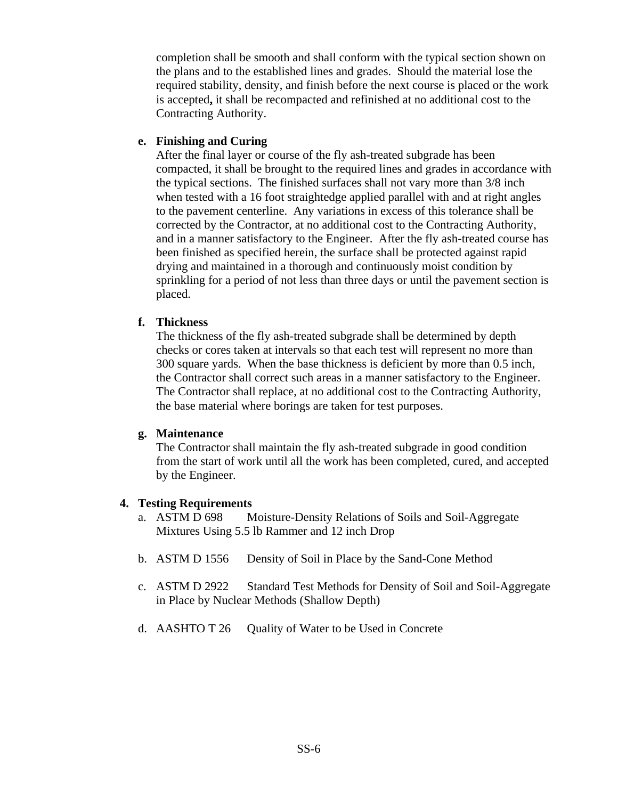completion shall be smooth and shall conform with the typical section shown on the plans and to the established lines and grades. Should the material lose the required stability, density, and finish before the next course is placed or the work is accepted**,** it shall be recompacted and refinished at no additional cost to the Contracting Authority.

#### **e. Finishing and Curing**

After the final layer or course of the fly ash-treated subgrade has been compacted, it shall be brought to the required lines and grades in accordance with the typical sections. The finished surfaces shall not vary more than 3/8 inch when tested with a 16 foot straightedge applied parallel with and at right angles to the pavement centerline. Any variations in excess of this tolerance shall be corrected by the Contractor, at no additional cost to the Contracting Authority, and in a manner satisfactory to the Engineer. After the fly ash-treated course has been finished as specified herein, the surface shall be protected against rapid drying and maintained in a thorough and continuously moist condition by sprinkling for a period of not less than three days or until the pavement section is placed.

#### **f. Thickness**

The thickness of the fly ash-treated subgrade shall be determined by depth checks or cores taken at intervals so that each test will represent no more than 300 square yards. When the base thickness is deficient by more than 0.5 inch, the Contractor shall correct such areas in a manner satisfactory to the Engineer. The Contractor shall replace, at no additional cost to the Contracting Authority, the base material where borings are taken for test purposes.

#### **g. Maintenance**

The Contractor shall maintain the fly ash-treated subgrade in good condition from the start of work until all the work has been completed, cured, and accepted by the Engineer.

#### **4. Testing Requirements**

- a. ASTM D 698 Moisture-Density Relations of Soils and Soil-Aggregate Mixtures Using 5.5 lb Rammer and 12 inch Drop
- b. ASTM D 1556 Density of Soil in Place by the Sand-Cone Method
- c. ASTM D 2922 Standard Test Methods for Density of Soil and Soil-Aggregate in Place by Nuclear Methods (Shallow Depth)
- d. AASHTO T 26 Quality of Water to be Used in Concrete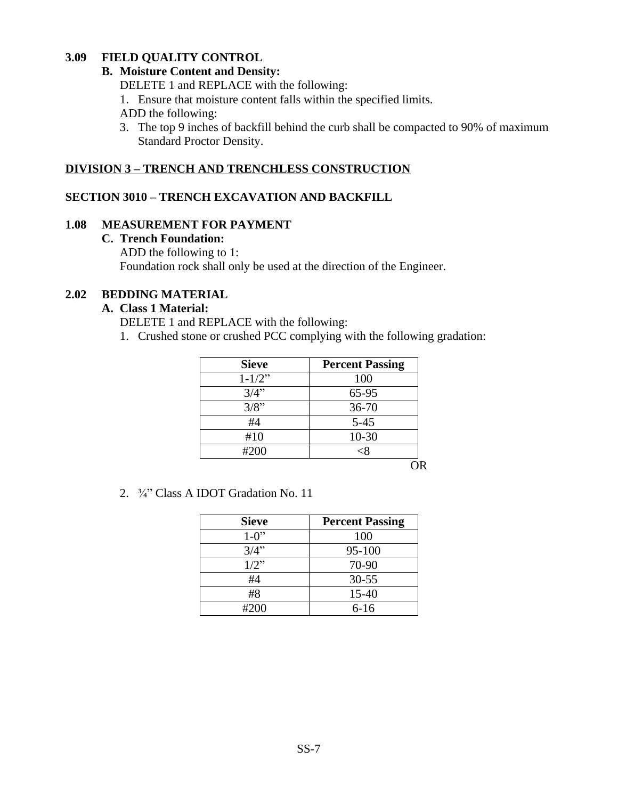#### **3.09 FIELD QUALITY CONTROL**

#### **B. Moisture Content and Density:**

DELETE 1 and REPLACE with the following:

1. Ensure that moisture content falls within the specified limits.

ADD the following:

3. The top 9 inches of backfill behind the curb shall be compacted to 90% of maximum Standard Proctor Density.

# **DIVISION 3 – TRENCH AND TRENCHLESS CONSTRUCTION**

# **SECTION 3010 – TRENCH EXCAVATION AND BACKFILL**

#### **1.08 MEASUREMENT FOR PAYMENT**

#### **C. Trench Foundation:**

ADD the following to 1: Foundation rock shall only be used at the direction of the Engineer.

#### **2.02 BEDDING MATERIAL**

#### **A. Class 1 Material:**

DELETE 1 and REPLACE with the following:

1. Crushed stone or crushed PCC complying with the following gradation:

| <b>Sieve</b> | <b>Percent Passing</b> |
|--------------|------------------------|
| $1 - 1/2$ "  | 100                    |
| 3/4"         | 65-95                  |
| 3/8"         | $36 - 70$              |
| #4           | $5 - 45$               |
| #10          | $10 - 30$              |
| #200         |                        |
|              |                        |

OR

2. ¾" Class A IDOT Gradation No. 11

| <b>Sieve</b> | <b>Percent Passing</b> |
|--------------|------------------------|
| $1 - 0$ "    | 100                    |
| 3/4"         | 95-100                 |
| $1/2$ "      | 70-90                  |
| #4           | $30 - 55$              |
| #8           | 15-40                  |
| #200         | $6-16$                 |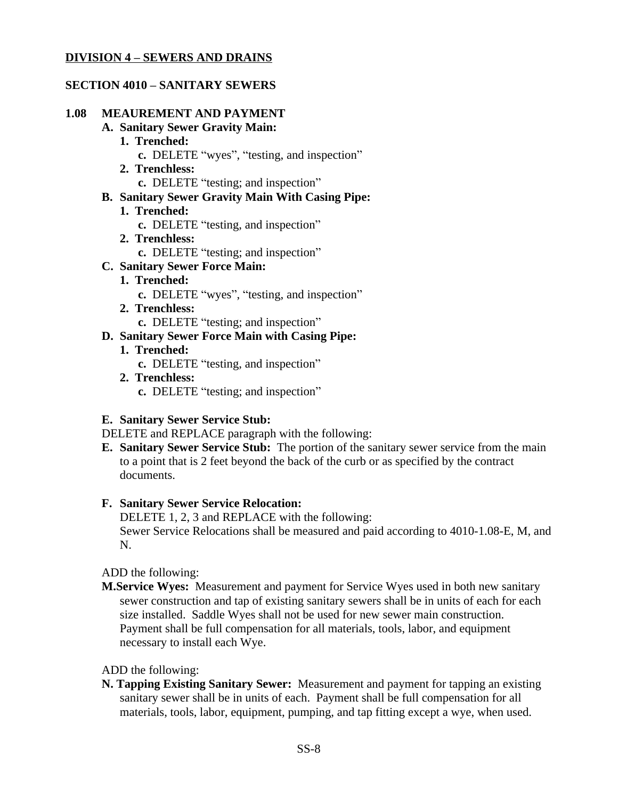#### **DIVISION 4 – SEWERS AND DRAINS**

#### **SECTION 4010 – SANITARY SEWERS**

#### **1.08 MEAUREMENT AND PAYMENT**

#### **A. Sanitary Sewer Gravity Main:**

- **1. Trenched:**
	- **c.** DELETE "wyes", "testing, and inspection"
- **2. Trenchless:**
	- **c.** DELETE "testing; and inspection"
- **B. Sanitary Sewer Gravity Main With Casing Pipe:**
	- **1. Trenched:**
		- **c.** DELETE "testing, and inspection"
	- **2. Trenchless:**
		- **c.** DELETE "testing; and inspection"

#### **C. Sanitary Sewer Force Main:**

- **1. Trenched:**
	- **c.** DELETE "wyes", "testing, and inspection"
- **2. Trenchless:**
	- **c.** DELETE "testing; and inspection"
- **D. Sanitary Sewer Force Main with Casing Pipe:**
	- **1. Trenched:**
		- **c.** DELETE "testing, and inspection"
	- **2. Trenchless:**
		- **c.** DELETE "testing; and inspection"

#### **E. Sanitary Sewer Service Stub:**

DELETE and REPLACE paragraph with the following:

**E. Sanitary Sewer Service Stub:** The portion of the sanitary sewer service from the main to a point that is 2 feet beyond the back of the curb or as specified by the contract documents.

#### **F. Sanitary Sewer Service Relocation:**

DELETE 1, 2, 3 and REPLACE with the following: Sewer Service Relocations shall be measured and paid according to 4010-1.08-E, M, and N.

#### ADD the following:

**M.Service Wyes:** Measurement and payment for Service Wyes used in both new sanitary sewer construction and tap of existing sanitary sewers shall be in units of each for each size installed. Saddle Wyes shall not be used for new sewer main construction. Payment shall be full compensation for all materials, tools, labor, and equipment necessary to install each Wye.

ADD the following:

**N. Tapping Existing Sanitary Sewer:** Measurement and payment for tapping an existing sanitary sewer shall be in units of each. Payment shall be full compensation for all materials, tools, labor, equipment, pumping, and tap fitting except a wye, when used.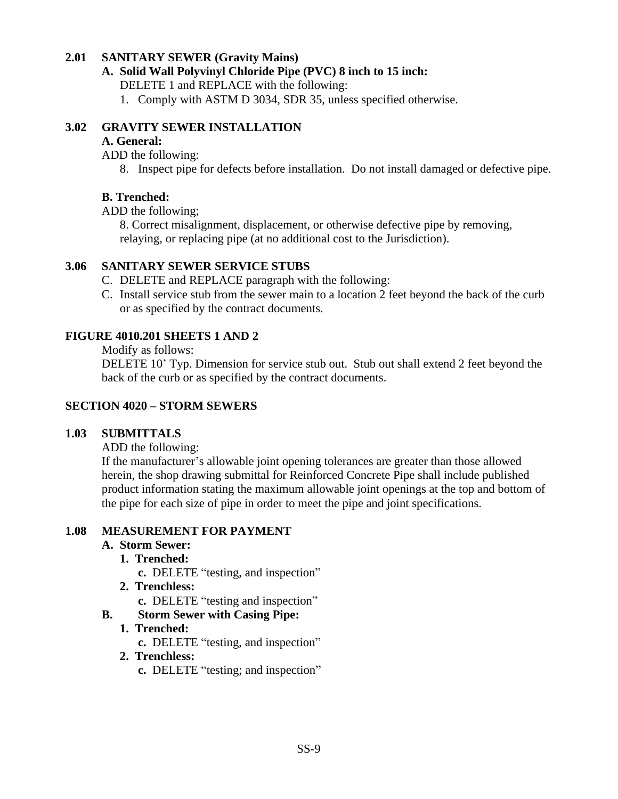#### **2.01 SANITARY SEWER (Gravity Mains)**

#### **A. Solid Wall Polyvinyl Chloride Pipe (PVC) 8 inch to 15 inch:**

DELETE 1 and REPLACE with the following:

1. Comply with ASTM D 3034, SDR 35, unless specified otherwise.

# **3.02 GRAVITY SEWER INSTALLATION**

#### **A. General:**

ADD the following:

8. Inspect pipe for defects before installation. Do not install damaged or defective pipe.

# **B. Trenched:**

ADD the following;

8. Correct misalignment, displacement, or otherwise defective pipe by removing, relaying, or replacing pipe (at no additional cost to the Jurisdiction).

# **3.06 SANITARY SEWER SERVICE STUBS**

- C. DELETE and REPLACE paragraph with the following:
- C. Install service stub from the sewer main to a location 2 feet beyond the back of the curb or as specified by the contract documents.

# **FIGURE 4010.201 SHEETS 1 AND 2**

Modify as follows:

DELETE 10' Typ. Dimension for service stub out. Stub out shall extend 2 feet beyond the back of the curb or as specified by the contract documents.

# **SECTION 4020 – STORM SEWERS**

# **1.03 SUBMITTALS**

ADD the following:

If the manufacturer's allowable joint opening tolerances are greater than those allowed herein, the shop drawing submittal for Reinforced Concrete Pipe shall include published product information stating the maximum allowable joint openings at the top and bottom of the pipe for each size of pipe in order to meet the pipe and joint specifications.

#### **1.08 MEASUREMENT FOR PAYMENT**

# **A. Storm Sewer:**

- **1. Trenched:**
	- **c.** DELETE "testing, and inspection"
- **2. Trenchless:**
	- **c.** DELETE "testing and inspection"
- **B. Storm Sewer with Casing Pipe:**

# **1. Trenched:**

**c.** DELETE "testing, and inspection"

# **2. Trenchless:**

**c.** DELETE "testing; and inspection"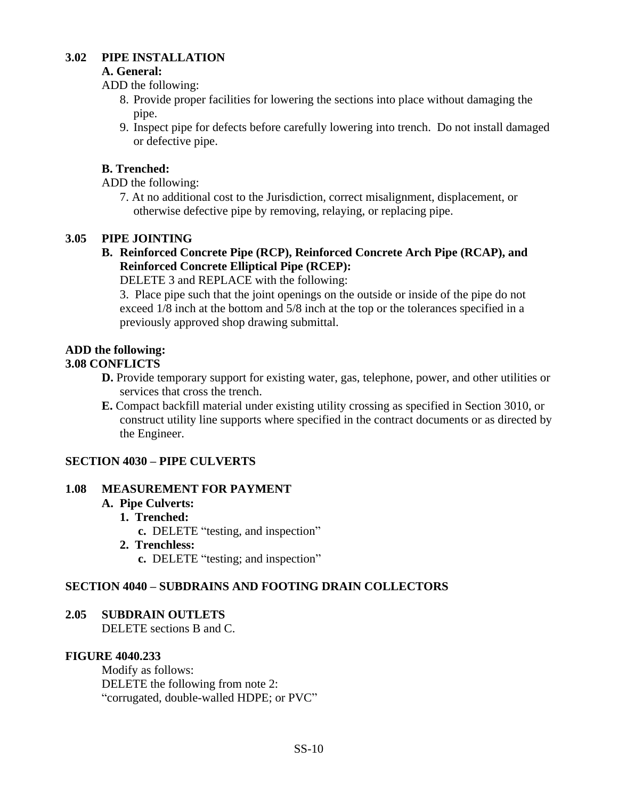# **3.02 PIPE INSTALLATION**

#### **A. General:**

ADD the following:

- 8. Provide proper facilities for lowering the sections into place without damaging the pipe.
- 9. Inspect pipe for defects before carefully lowering into trench. Do not install damaged or defective pipe.

# **B. Trenched:**

ADD the following:

7. At no additional cost to the Jurisdiction, correct misalignment, displacement, or otherwise defective pipe by removing, relaying, or replacing pipe.

# **3.05 PIPE JOINTING**

**B. Reinforced Concrete Pipe (RCP), Reinforced Concrete Arch Pipe (RCAP), and Reinforced Concrete Elliptical Pipe (RCEP):**

DELETE 3 and REPLACE with the following:

3. Place pipe such that the joint openings on the outside or inside of the pipe do not exceed 1/8 inch at the bottom and 5/8 inch at the top or the tolerances specified in a previously approved shop drawing submittal.

# **ADD the following:**

# **3.08 CONFLICTS**

- **D.** Provide temporary support for existing water, gas, telephone, power, and other utilities or services that cross the trench.
- **E.** Compact backfill material under existing utility crossing as specified in Section 3010, or construct utility line supports where specified in the contract documents or as directed by the Engineer.

# **SECTION 4030 – PIPE CULVERTS**

# **1.08 MEASUREMENT FOR PAYMENT**

# **A. Pipe Culverts:**

**1. Trenched:**

**c.** DELETE "testing, and inspection"

**2. Trenchless:**

**c.** DELETE "testing; and inspection"

# **SECTION 4040 – SUBDRAINS AND FOOTING DRAIN COLLECTORS**

# **2.05 SUBDRAIN OUTLETS**

DELETE sections B and C.

# **FIGURE 4040.233**

Modify as follows: DELETE the following from note 2: "corrugated, double-walled HDPE; or PVC"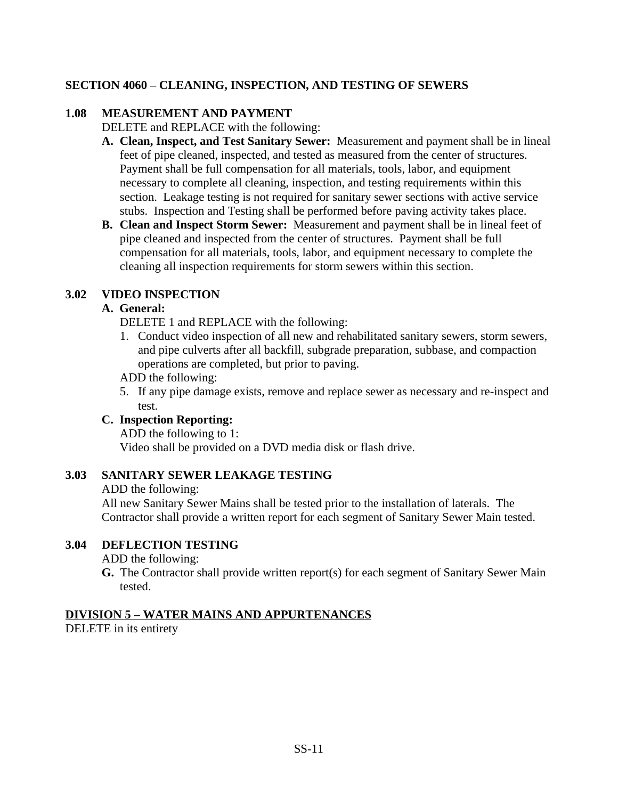# **SECTION 4060 – CLEANING, INSPECTION, AND TESTING OF SEWERS**

# **1.08 MEASUREMENT AND PAYMENT**

DELETE and REPLACE with the following:

- **A. Clean, Inspect, and Test Sanitary Sewer:** Measurement and payment shall be in lineal feet of pipe cleaned, inspected, and tested as measured from the center of structures. Payment shall be full compensation for all materials, tools, labor, and equipment necessary to complete all cleaning, inspection, and testing requirements within this section. Leakage testing is not required for sanitary sewer sections with active service stubs. Inspection and Testing shall be performed before paving activity takes place.
- **B. Clean and Inspect Storm Sewer:** Measurement and payment shall be in lineal feet of pipe cleaned and inspected from the center of structures. Payment shall be full compensation for all materials, tools, labor, and equipment necessary to complete the cleaning all inspection requirements for storm sewers within this section.

# **3.02 VIDEO INSPECTION**

#### **A. General:**

DELETE 1 and REPLACE with the following:

1. Conduct video inspection of all new and rehabilitated sanitary sewers, storm sewers, and pipe culverts after all backfill, subgrade preparation, subbase, and compaction operations are completed, but prior to paving.

ADD the following:

5. If any pipe damage exists, remove and replace sewer as necessary and re-inspect and test.

# **C. Inspection Reporting:**

ADD the following to 1: Video shall be provided on a DVD media disk or flash drive.

# **3.03 SANITARY SEWER LEAKAGE TESTING**

ADD the following:

All new Sanitary Sewer Mains shall be tested prior to the installation of laterals. The Contractor shall provide a written report for each segment of Sanitary Sewer Main tested.

#### **3.04 DEFLECTION TESTING**

ADD the following:

**G.** The Contractor shall provide written report(s) for each segment of Sanitary Sewer Main tested.

# **DIVISION 5 – WATER MAINS AND APPURTENANCES**

DELETE in its entirety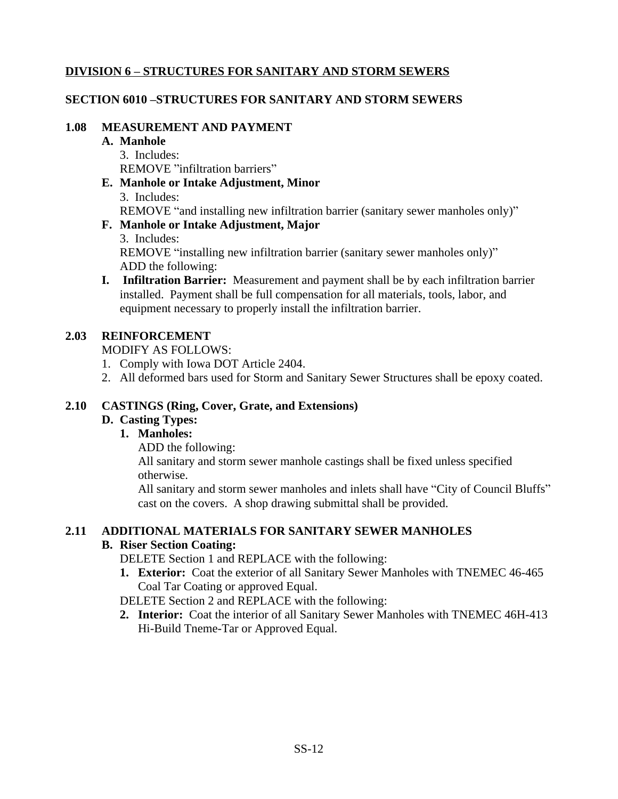# **DIVISION 6 – STRUCTURES FOR SANITARY AND STORM SEWERS**

# **SECTION 6010 –STRUCTURES FOR SANITARY AND STORM SEWERS**

# **1.08 MEASUREMENT AND PAYMENT**

#### **A. Manhole**

- 3. Includes: REMOVE "infiltration barriers"
- **E. Manhole or Intake Adjustment, Minor** 3. Includes: REMOVE "and installing new infiltration barrier (sanitary sewer manholes only)"

# **F. Manhole or Intake Adjustment, Major**

3. Includes:

REMOVE "installing new infiltration barrier (sanitary sewer manholes only)" ADD the following:

**I. Infiltration Barrier:** Measurement and payment shall be by each infiltration barrier installed. Payment shall be full compensation for all materials, tools, labor, and equipment necessary to properly install the infiltration barrier.

# **2.03 REINFORCEMENT**

MODIFY AS FOLLOWS:

- 1. Comply with Iowa DOT Article 2404.
- 2. All deformed bars used for Storm and Sanitary Sewer Structures shall be epoxy coated.

# **2.10 CASTINGS (Ring, Cover, Grate, and Extensions)**

# **D. Casting Types:**

# **1. Manholes:**

ADD the following:

All sanitary and storm sewer manhole castings shall be fixed unless specified otherwise.

All sanitary and storm sewer manholes and inlets shall have "City of Council Bluffs" cast on the covers. A shop drawing submittal shall be provided.

# **2.11 ADDITIONAL MATERIALS FOR SANITARY SEWER MANHOLES**

# **B. Riser Section Coating:**

DELETE Section 1 and REPLACE with the following:

**1. Exterior:** Coat the exterior of all Sanitary Sewer Manholes with TNEMEC 46-465 Coal Tar Coating or approved Equal.

DELETE Section 2 and REPLACE with the following:

**2. Interior:** Coat the interior of all Sanitary Sewer Manholes with TNEMEC 46H-413 Hi-Build Tneme-Tar or Approved Equal.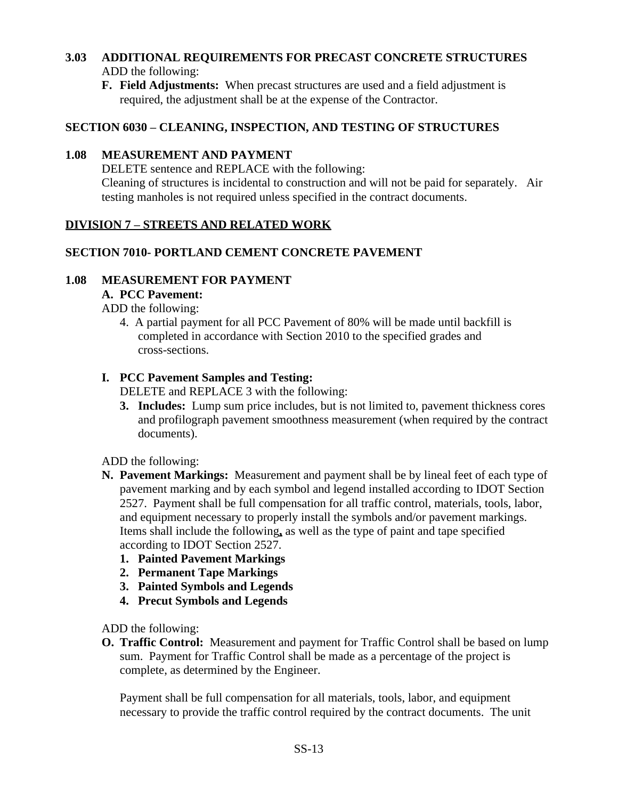# **3.03 ADDITIONAL REQUIREMENTS FOR PRECAST CONCRETE STRUCTURES** ADD the following:

**F. Field Adjustments:** When precast structures are used and a field adjustment is required, the adjustment shall be at the expense of the Contractor.

# **SECTION 6030 – CLEANING, INSPECTION, AND TESTING OF STRUCTURES**

# **1.08 MEASUREMENT AND PAYMENT**

DELETE sentence and REPLACE with the following: Cleaning of structures is incidental to construction and will not be paid for separately. Air testing manholes is not required unless specified in the contract documents.

# **DIVISION 7 – STREETS AND RELATED WORK**

# **SECTION 7010- PORTLAND CEMENT CONCRETE PAVEMENT**

# **1.08 MEASUREMENT FOR PAYMENT**

# **A. PCC Pavement:**

ADD the following:

4. A partial payment for all PCC Pavement of 80% will be made until backfill is completed in accordance with Section 2010 to the specified grades and cross-sections.

# **I. PCC Pavement Samples and Testing:**

DELETE and REPLACE 3 with the following:

**3. Includes:** Lump sum price includes, but is not limited to, pavement thickness cores and profilograph pavement smoothness measurement (when required by the contract documents).

ADD the following:

- **N. Pavement Markings:** Measurement and payment shall be by lineal feet of each type of pavement marking and by each symbol and legend installed according to IDOT Section 2527. Payment shall be full compensation for all traffic control, materials, tools, labor, and equipment necessary to properly install the symbols and/or pavement markings. Items shall include the following**,** as well as the type of paint and tape specified according to IDOT Section 2527.
	- **1. Painted Pavement Markings**
	- **2. Permanent Tape Markings**
	- **3. Painted Symbols and Legends**
	- **4. Precut Symbols and Legends**

ADD the following:

**O. Traffic Control:** Measurement and payment for Traffic Control shall be based on lump sum. Payment for Traffic Control shall be made as a percentage of the project is complete, as determined by the Engineer.

Payment shall be full compensation for all materials, tools, labor, and equipment necessary to provide the traffic control required by the contract documents. The unit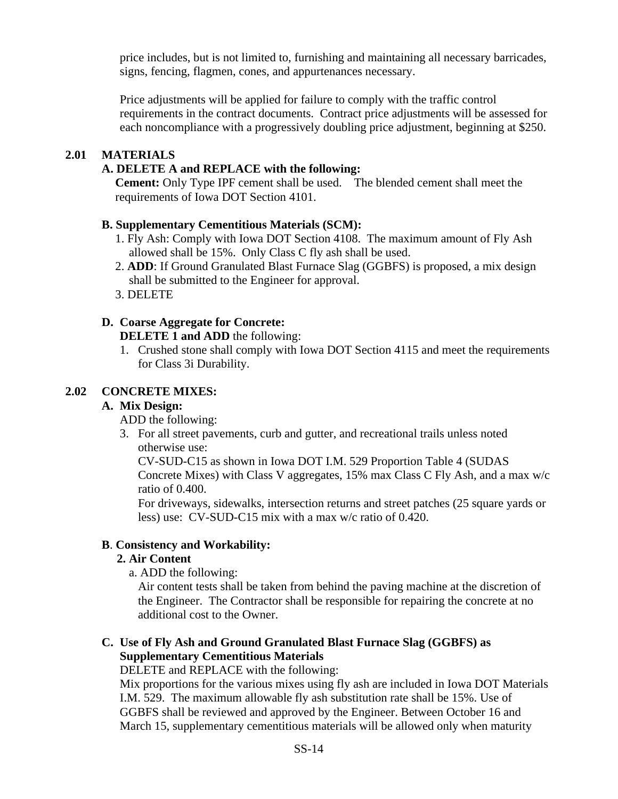price includes, but is not limited to, furnishing and maintaining all necessary barricades, signs, fencing, flagmen, cones, and appurtenances necessary.

Price adjustments will be applied for failure to comply with the traffic control requirements in the contract documents. Contract price adjustments will be assessed for each noncompliance with a progressively doubling price adjustment, beginning at \$250.

# **2.01 MATERIALS**

# **A. DELETE A and REPLACE with the following:**

**Cement:** Only Type IPF cement shall be used. The blended cement shall meet the requirements of Iowa DOT Section 4101.

# **B. Supplementary Cementitious Materials (SCM):**

- 1. Fly Ash: Comply with Iowa DOT Section 4108. The maximum amount of Fly Ash allowed shall be 15%. Only Class C fly ash shall be used.
- 2. **ADD**: If Ground Granulated Blast Furnace Slag (GGBFS) is proposed, a mix design shall be submitted to the Engineer for approval.
- 3. DELETE

# **D. Coarse Aggregate for Concrete:**

**DELETE 1 and ADD** the following:

1. Crushed stone shall comply with Iowa DOT Section 4115 and meet the requirements for Class 3i Durability.

# **2.02 CONCRETE MIXES:**

# **A. Mix Design:**

ADD the following:

3. For all street pavements, curb and gutter, and recreational trails unless noted otherwise use:

CV-SUD-C15 as shown in Iowa DOT I.M. 529 Proportion Table 4 (SUDAS Concrete Mixes) with Class V aggregates, 15% max Class C Fly Ash, and a max w/c ratio of 0.400.

For driveways, sidewalks, intersection returns and street patches (25 square yards or less) use: CV-SUD-C15 mix with a max w/c ratio of 0.420.

# **B**. **Consistency and Workability:**

# **2. Air Content**

a. ADD the following:

Air content tests shall be taken from behind the paving machine at the discretion of the Engineer. The Contractor shall be responsible for repairing the concrete at no additional cost to the Owner.

# **C. Use of Fly Ash and Ground Granulated Blast Furnace Slag (GGBFS) as Supplementary Cementitious Materials**

DELETE and REPLACE with the following:

 Mix proportions for the various mixes using fly ash are included in Iowa DOT Materials I.M. 529. The maximum allowable fly ash substitution rate shall be 15%. Use of GGBFS shall be reviewed and approved by the Engineer. Between October 16 and March 15, supplementary cementitious materials will be allowed only when maturity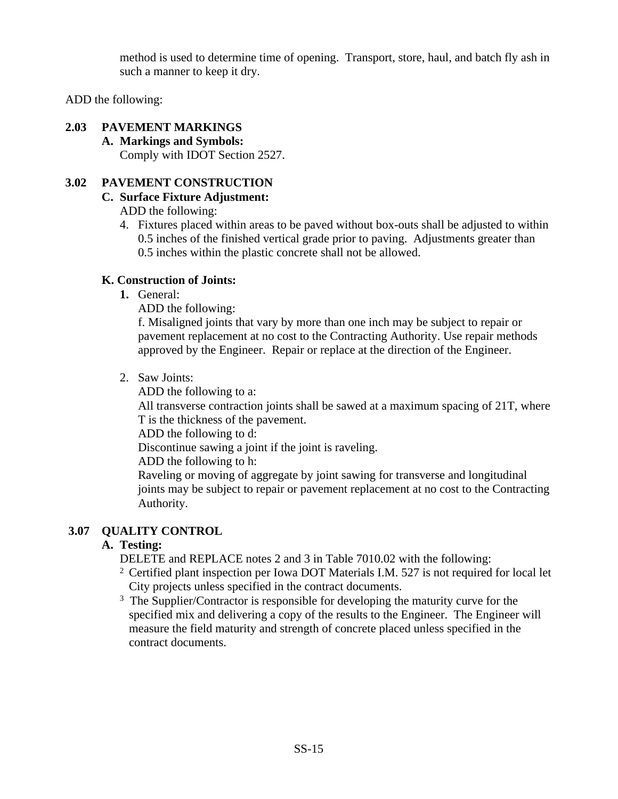method is used to determine time of opening. Transport, store, haul, and batch fly ash in such a manner to keep it dry.

ADD the following:

# **2.03 PAVEMENT MARKINGS**

**A. Markings and Symbols:** Comply with IDOT Section 2527.

# **3.02 PAVEMENT CONSTRUCTION**

# **C. Surface Fixture Adjustment:**

ADD the following:

4. Fixtures placed within areas to be paved without box-outs shall be adjusted to within 0.5 inches of the finished vertical grade prior to paving. Adjustments greater than 0.5 inches within the plastic concrete shall not be allowed.

# **K. Construction of Joints:**

**1.** General:

ADD the following:

f. Misaligned joints that vary by more than one inch may be subject to repair or pavement replacement at no cost to the Contracting Authority. Use repair methods approved by the Engineer. Repair or replace at the direction of the Engineer.

2. Saw Joints:

ADD the following to a:

All transverse contraction joints shall be sawed at a maximum spacing of 21T, where T is the thickness of the pavement.

ADD the following to d:

Discontinue sawing a joint if the joint is raveling.

ADD the following to h:

Raveling or moving of aggregate by joint sawing for transverse and longitudinal joints may be subject to repair or pavement replacement at no cost to the Contracting Authority.

# **3.07 QUALITY CONTROL**

# **A. Testing:**

DELETE and REPLACE notes 2 and 3 in Table 7010.02 with the following:

- <sup>2</sup> Certified plant inspection per Iowa DOT Materials I.M. 527 is not required for local let City projects unless specified in the contract documents.
- <sup>3</sup> The Supplier/Contractor is responsible for developing the maturity curve for the specified mix and delivering a copy of the results to the Engineer. The Engineer will measure the field maturity and strength of concrete placed unless specified in the contract documents.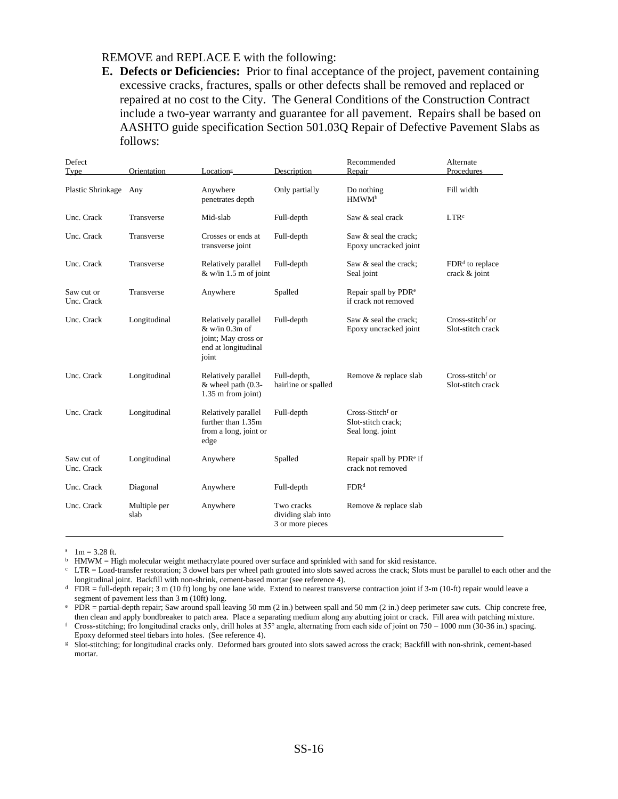#### REMOVE and REPLACE E with the following:

**E. Defects or Deficiencies:** Prior to final acceptance of the project, pavement containing excessive cracks, fractures, spalls or other defects shall be removed and replaced or repaired at no cost to the City. The General Conditions of the Construction Contract include a two-year warranty and guarantee for all pavement. Repairs shall be based on AASHTO guide specification Section 501.03Q Repair of Defective Pavement Slabs as follows:

| Defect<br><b>Type</b>    | Orientation          | Location <sup>a</sup>                                                                          | Description                                          | Recommended<br>Repair                                                  | Alternate<br>Procedures                           |
|--------------------------|----------------------|------------------------------------------------------------------------------------------------|------------------------------------------------------|------------------------------------------------------------------------|---------------------------------------------------|
| Plastic Shrinkage Any    |                      | Anywhere<br>penetrates depth                                                                   | Only partially                                       | Do nothing<br>HMWM <sup>b</sup>                                        | Fill width                                        |
| Unc. Crack               | Transverse           | Mid-slab                                                                                       | Full-depth                                           | Saw & seal crack                                                       | LTR <sup>c</sup>                                  |
| Unc. Crack               | Transverse           | Crosses or ends at<br>transverse joint                                                         | Full-depth                                           | Saw & seal the crack;<br>Epoxy uncracked joint                         |                                                   |
| Unc. Crack               | Transverse           | Relatively parallel<br>$&$ w/in 1.5 m of joint                                                 | Full-depth                                           | Saw & seal the crack:<br>Seal joint                                    | $FDRd$ to replace<br>crack & joint                |
| Saw cut or<br>Unc. Crack | Transverse           | Anywhere                                                                                       | Spalled                                              | Repair spall by PDR <sup>e</sup><br>if crack not removed               |                                                   |
| Unc. Crack               | Longitudinal         | Relatively parallel<br>$&$ w/in 0.3m of<br>joint; May cross or<br>end at longitudinal<br>joint | Full-depth                                           | Saw & seal the crack:<br>Epoxy uncracked joint                         | Cross-stitch <sup>f</sup> or<br>Slot-stitch crack |
| Unc. Crack               | Longitudinal         | Relatively parallel<br>$&$ wheel path $(0.3 -$<br>1.35 m from joint)                           | Full-depth,<br>hairline or spalled                   | Remove & replace slab                                                  | Cross-stitch <sup>f</sup> or<br>Slot-stitch crack |
| Unc. Crack               | Longitudinal         | Relatively parallel<br>further than 1.35m<br>from a long, joint or<br>edge                     | Full-depth                                           | Cross-Stitch <sup>f</sup> or<br>Slot-stitch crack;<br>Seal long. joint |                                                   |
| Saw cut of<br>Unc. Crack | Longitudinal         | Anywhere                                                                                       | Spalled                                              | Repair spall by PDR <sup>e</sup> if<br>crack not removed               |                                                   |
| Unc. Crack               | Diagonal             | Anywhere                                                                                       | Full-depth                                           | FDR <sup>d</sup>                                                       |                                                   |
| Unc. Crack               | Multiple per<br>slab | Anywhere                                                                                       | Two cracks<br>dividing slab into<br>3 or more pieces | Remove & replace slab                                                  |                                                   |

 $1m = 3.28$  ft.

<sup>b</sup> HMWM = High molecular weight methacrylate poured over surface and sprinkled with sand for skid resistance.

c LTR = Load-transfer restoration; 3 dowel bars per wheel path grouted into slots sawed across the crack; Slots must be parallel to each other and the longitudinal joint. Backfill with non-shrink, cement-based mortar (see reference 4).

d FDR = full-depth repair; 3 m (10 ft) long by one lane wide. Extend to nearest transverse contraction joint if 3-m (10-ft) repair would leave a segment of pavement less than 3 m (10ft) long.

e PDR = partial-depth repair; Saw around spall leaving 50 mm (2 in.) between spall and 50 mm (2 in.) deep perimeter saw cuts. Chip concrete free, then clean and apply bondbreaker to patch area. Place a separating medium along any abutting joint or crack. Fill area with patching mixture.

<sup>f</sup> Cross-stitching; fro longitudinal cracks only, drill holes at 35° angle, alternating from each side of joint on 750 – 1000 mm (30-36 in.) spacing. Epoxy deformed steel tiebars into holes. (See reference 4).

g Slot-stitching; for longitudinal cracks only. Deformed bars grouted into slots sawed across the crack; Backfill with non-shrink, cement-based mortar.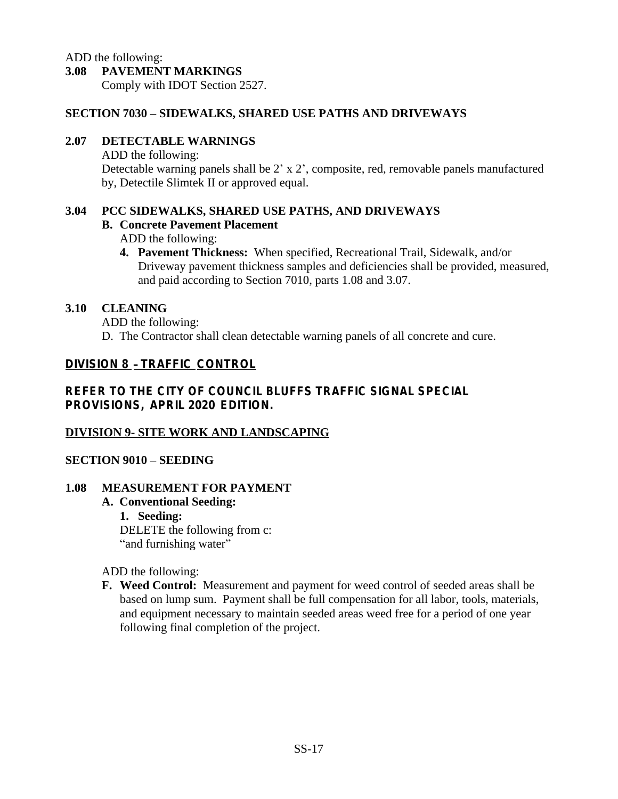ADD the following:

#### **3.08 PAVEMENT MARKINGS**

Comply with IDOT Section 2527.

#### **SECTION 7030 – SIDEWALKS, SHARED USE PATHS AND DRIVEWAYS**

#### **2.07 DETECTABLE WARNINGS**

ADD the following:

Detectable warning panels shall be 2' x 2', composite, red, removable panels manufactured by, Detectile Slimtek II or approved equal.

#### **3.04 PCC SIDEWALKS, SHARED USE PATHS, AND DRIVEWAYS**

#### **B. Concrete Pavement Placement**

ADD the following:

**4. Pavement Thickness:** When specified, Recreational Trail, Sidewalk, and/or Driveway pavement thickness samples and deficiencies shall be provided, measured, and paid according to Section 7010, parts 1.08 and 3.07.

#### **3.10 CLEANING**

ADD the following: D. The Contractor shall clean detectable warning panels of all concrete and cure.

# **DIVISION 8** – **TRAFFIC CONTROL**

# **REFER TO THE CITY OF COUNCIL BLUFFS TRAFFIC SIGNAL SPECIAL PROVISIONS, APRIL 2020 EDITION.**

# **DIVISION 9- SITE WORK AND LANDSCAPING**

# **SECTION 9010 – SEEDING**

#### **1.08 MEASUREMENT FOR PAYMENT**

#### **A. Conventional Seeding:**

**1. Seeding:** DELETE the following from c: "and furnishing water"

ADD the following:

**F. Weed Control:** Measurement and payment for weed control of seeded areas shall be based on lump sum. Payment shall be full compensation for all labor, tools, materials, and equipment necessary to maintain seeded areas weed free for a period of one year following final completion of the project.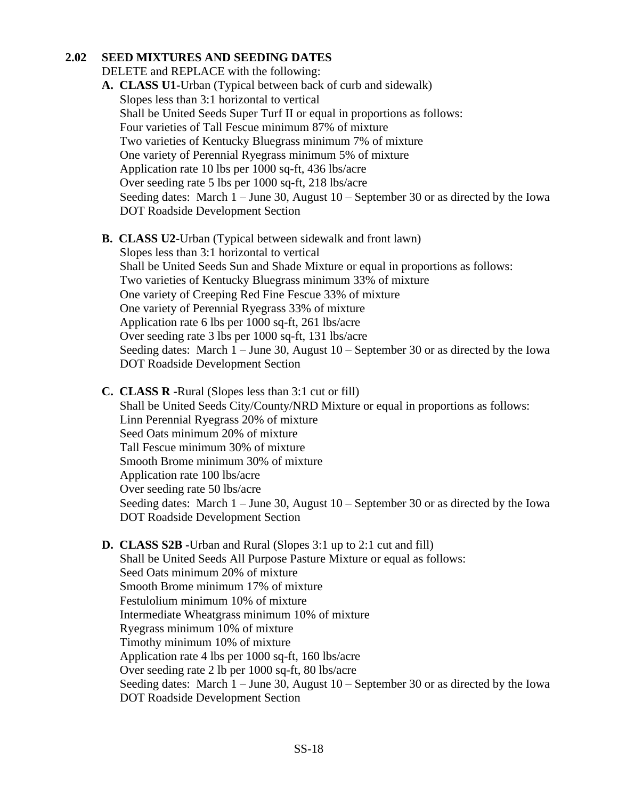#### **2.02 SEED MIXTURES AND SEEDING DATES**

DELETE and REPLACE with the following:

- **A. CLASS U1-**Urban (Typical between back of curb and sidewalk) Slopes less than 3:1 horizontal to vertical Shall be United Seeds Super Turf II or equal in proportions as follows: Four varieties of Tall Fescue minimum 87% of mixture Two varieties of Kentucky Bluegrass minimum 7% of mixture One variety of Perennial Ryegrass minimum 5% of mixture Application rate 10 lbs per 1000 sq-ft, 436 lbs/acre Over seeding rate 5 lbs per 1000 sq-ft, 218 lbs/acre Seeding dates: March 1 – June 30, August 10 – September 30 or as directed by the Iowa DOT Roadside Development Section
- **B. CLASS U2**-Urban (Typical between sidewalk and front lawn) Slopes less than 3:1 horizontal to vertical Shall be United Seeds Sun and Shade Mixture or equal in proportions as follows: Two varieties of Kentucky Bluegrass minimum 33% of mixture One variety of Creeping Red Fine Fescue 33% of mixture One variety of Perennial Ryegrass 33% of mixture Application rate 6 lbs per 1000 sq-ft, 261 lbs/acre Over seeding rate 3 lbs per 1000 sq-ft, 131 lbs/acre Seeding dates: March 1 – June 30, August 10 – September 30 or as directed by the Iowa DOT Roadside Development Section
- **C. CLASS R -**Rural (Slopes less than 3:1 cut or fill) Shall be United Seeds City/County/NRD Mixture or equal in proportions as follows: Linn Perennial Ryegrass 20% of mixture Seed Oats minimum 20% of mixture Tall Fescue minimum 30% of mixture Smooth Brome minimum 30% of mixture Application rate 100 lbs/acre Over seeding rate 50 lbs/acre Seeding dates: March 1 – June 30, August 10 – September 30 or as directed by the Iowa DOT Roadside Development Section
- **D. CLASS S2B -**Urban and Rural (Slopes 3:1 up to 2:1 cut and fill) Shall be United Seeds All Purpose Pasture Mixture or equal as follows: Seed Oats minimum 20% of mixture Smooth Brome minimum 17% of mixture Festulolium minimum 10% of mixture Intermediate Wheatgrass minimum 10% of mixture Ryegrass minimum 10% of mixture Timothy minimum 10% of mixture Application rate 4 lbs per 1000 sq-ft, 160 lbs/acre Over seeding rate 2 lb per 1000 sq-ft, 80 lbs/acre Seeding dates: March 1 – June 30, August 10 – September 30 or as directed by the Iowa DOT Roadside Development Section